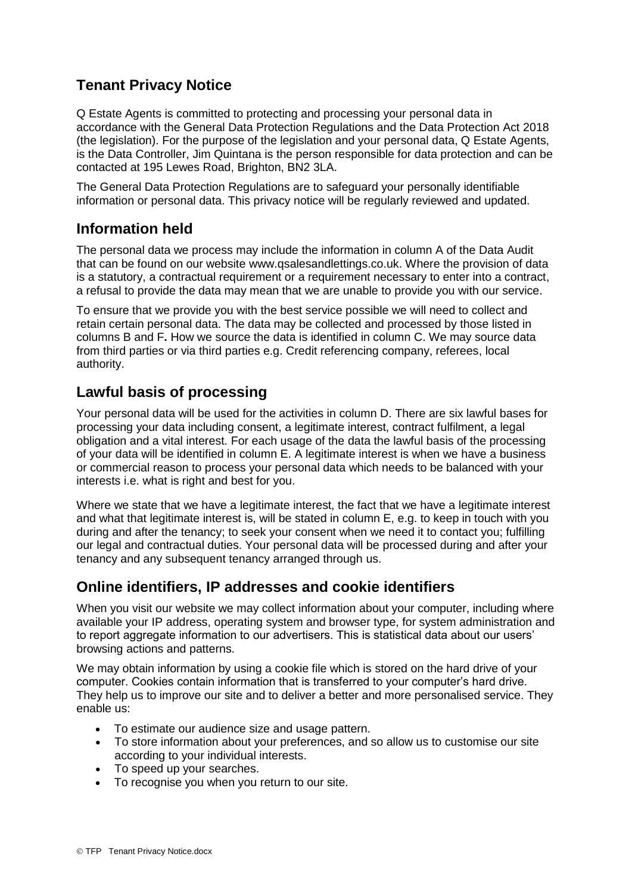# **Tenant Privacy Notice**

Q Estate Agents is committed to protecting and processing your personal data in accordance with the General Data Protection Regulations and the Data Protection Act 2018 (the legislation). For the purpose of the legislation and your personal data, Q Estate Agents, is the Data Controller, Jim Quintana is the person responsible for data protection and can be contacted at 195 Lewes Road, Brighton, BN2 3LA.

The General Data Protection Regulations are to safeguard your personally identifiable information or personal data. This privacy notice will be regularly reviewed and updated.

### **Information held**

The personal data we process may include the information in column A of the Data Audit that can be found on our website www.qsalesandlettings.co.uk. Where the provision of data is a statutory, a contractual requirement or a requirement necessary to enter into a contract, a refusal to provide the data may mean that we are unable to provide you with our service.

To ensure that we provide you with the best service possible we will need to collect and retain certain personal data. The data may be collected and processed by those listed in columns B and F**.** How we source the data is identified in column C. We may source data from third parties or via third parties e.g. Credit referencing company, referees, local authority.

### **Lawful basis of processing**

Your personal data will be used for the activities in column D. There are six lawful bases for processing your data including consent, a legitimate interest, contract fulfilment, a legal obligation and a vital interest. For each usage of the data the lawful basis of the processing of your data will be identified in column E. A legitimate interest is when we have a business or commercial reason to process your personal data which needs to be balanced with your interests i.e. what is right and best for you.

Where we state that we have a legitimate interest, the fact that we have a legitimate interest and what that legitimate interest is, will be stated in column E, e.g. to keep in touch with you during and after the tenancy; to seek your consent when we need it to contact you; fulfilling our legal and contractual duties. Your personal data will be processed during and after your tenancy and any subsequent tenancy arranged through us.

# **Online identifiers, IP addresses and cookie identifiers**

When you visit our website we may collect information about your computer, including where available your IP address, operating system and browser type, for system administration and to report aggregate information to our advertisers. This is statistical data about our users' browsing actions and patterns.

We may obtain information by using a cookie file which is stored on the hard drive of your computer. Cookies contain information that is transferred to your computer's hard drive. They help us to improve our site and to deliver a better and more personalised service. They enable us:

- To estimate our audience size and usage pattern.
- To store information about your preferences, and so allow us to customise our site according to your individual interests.
- To speed up your searches.
- To recognise you when you return to our site.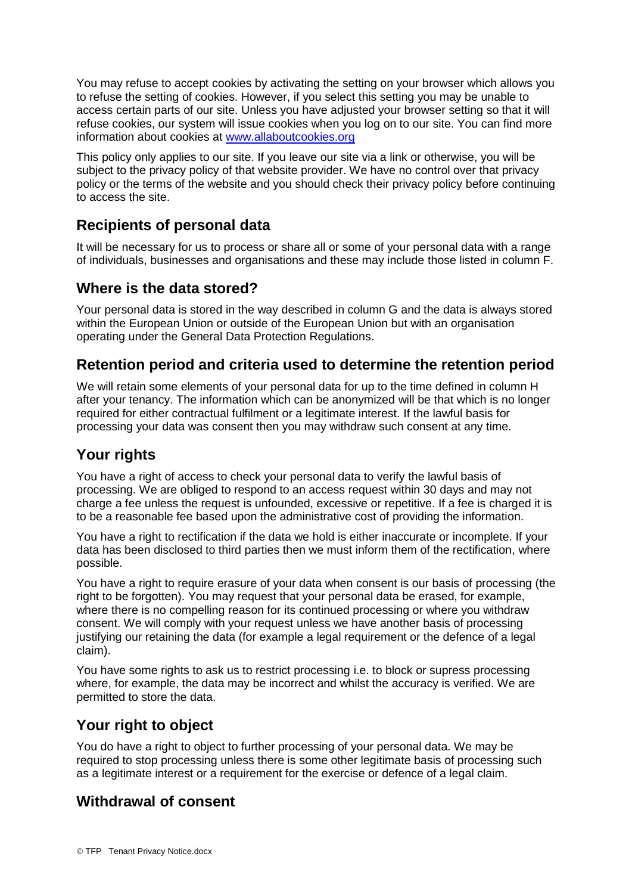You may refuse to accept cookies by activating the setting on your browser which allows you to refuse the setting of cookies. However, if you select this setting you may be unable to access certain parts of our site. Unless you have adjusted your browser setting so that it will refuse cookies, our system will issue cookies when you log on to our site. You can find more information about cookies at [www.allaboutcookies.org](http://www.allaboutcookies.org/)

This policy only applies to our site. If you leave our site via a link or otherwise, you will be subject to the privacy policy of that website provider. We have no control over that privacy policy or the terms of the website and you should check their privacy policy before continuing to access the site.

# **Recipients of personal data**

It will be necessary for us to process or share all or some of your personal data with a range of individuals, businesses and organisations and these may include those listed in column F.

### **Where is the data stored?**

Your personal data is stored in the way described in column G and the data is always stored within the European Union or outside of the European Union but with an organisation operating under the General Data Protection Regulations.

#### **Retention period and criteria used to determine the retention period**

We will retain some elements of your personal data for up to the time defined in column H after your tenancy. The information which can be anonymized will be that which is no longer required for either contractual fulfilment or a legitimate interest. If the lawful basis for processing your data was consent then you may withdraw such consent at any time.

# **Your rights**

You have a right of access to check your personal data to verify the lawful basis of processing. We are obliged to respond to an access request within 30 days and may not charge a fee unless the request is unfounded, excessive or repetitive. If a fee is charged it is to be a reasonable fee based upon the administrative cost of providing the information.

You have a right to rectification if the data we hold is either inaccurate or incomplete. If your data has been disclosed to third parties then we must inform them of the rectification, where possible.

You have a right to require erasure of your data when consent is our basis of processing (the right to be forgotten). You may request that your personal data be erased, for example, where there is no compelling reason for its continued processing or where you withdraw consent. We will comply with your request unless we have another basis of processing justifying our retaining the data (for example a legal requirement or the defence of a legal claim).

You have some rights to ask us to restrict processing i.e. to block or supress processing where, for example, the data may be incorrect and whilst the accuracy is verified. We are permitted to store the data.

#### **Your right to object**

You do have a right to object to further processing of your personal data. We may be required to stop processing unless there is some other legitimate basis of processing such as a legitimate interest or a requirement for the exercise or defence of a legal claim.

# **Withdrawal of consent**